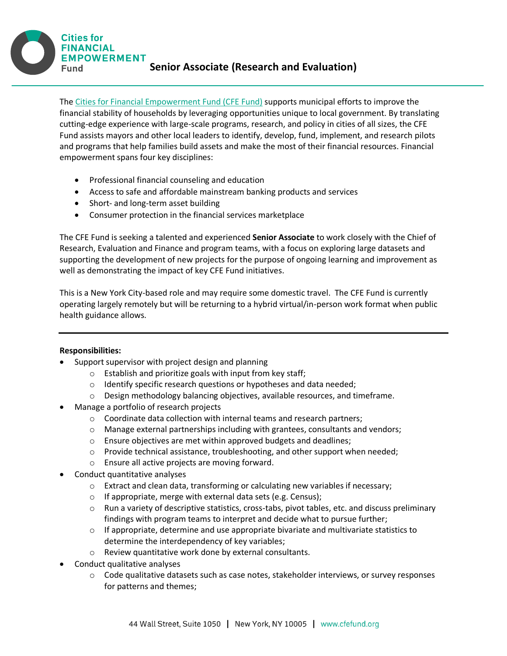**Cities for FINANCIAL EMPOWERMENT Senior Associate (Research and Evaluation) Fund** 

The [Cities for Financial Empowerment Fund \(CFE Fund\)](http://www.cfefund.org/) supports municipal efforts to improve the financial stability of households by leveraging opportunities unique to local government. By translating cutting-edge experience with large-scale programs, research, and policy in cities of all sizes, the CFE Fund assists mayors and other local leaders to identify, develop, fund, implement, and research pilots and programs that help families build assets and make the most of their financial resources. Financial empowerment spans four key disciplines:

- Professional financial counseling and education
- Access to safe and affordable mainstream banking products and services
- Short- and long-term asset building
- Consumer protection in the financial services marketplace

The CFE Fund is seeking a talented and experienced **Senior Associate** to work closely with the Chief of Research, Evaluation and Finance and program teams, with a focus on exploring large datasets and supporting the development of new projects for the purpose of ongoing learning and improvement as well as demonstrating the impact of key CFE Fund initiatives.

This is a New York City-based role and may require some domestic travel. The CFE Fund is currently operating largely remotely but will be returning to a hybrid virtual/in-person work format when public health guidance allows.

## **Responsibilities:**

- Support supervisor with project design and planning
	- o Establish and prioritize goals with input from key staff;
	- $\circ$  Identify specific research questions or hypotheses and data needed;
	- o Design methodology balancing objectives, available resources, and timeframe.
- Manage a portfolio of research projects
	- o Coordinate data collection with internal teams and research partners;
	- $\circ$  Manage external partnerships including with grantees, consultants and vendors;
	- o Ensure objectives are met within approved budgets and deadlines;
	- $\circ$  Provide technical assistance, troubleshooting, and other support when needed;
	- o Ensure all active projects are moving forward.
- Conduct quantitative analyses
	- $\circ$  Extract and clean data, transforming or calculating new variables if necessary;
	- o If appropriate, merge with external data sets (e.g. Census);
	- $\circ$  Run a variety of descriptive statistics, cross-tabs, pivot tables, etc. and discuss preliminary findings with program teams to interpret and decide what to pursue further;
	- $\circ$  If appropriate, determine and use appropriate bivariate and multivariate statistics to determine the interdependency of key variables;
	- o Review quantitative work done by external consultants.
- Conduct qualitative analyses
	- o Code qualitative datasets such as case notes, stakeholder interviews, or survey responses for patterns and themes;